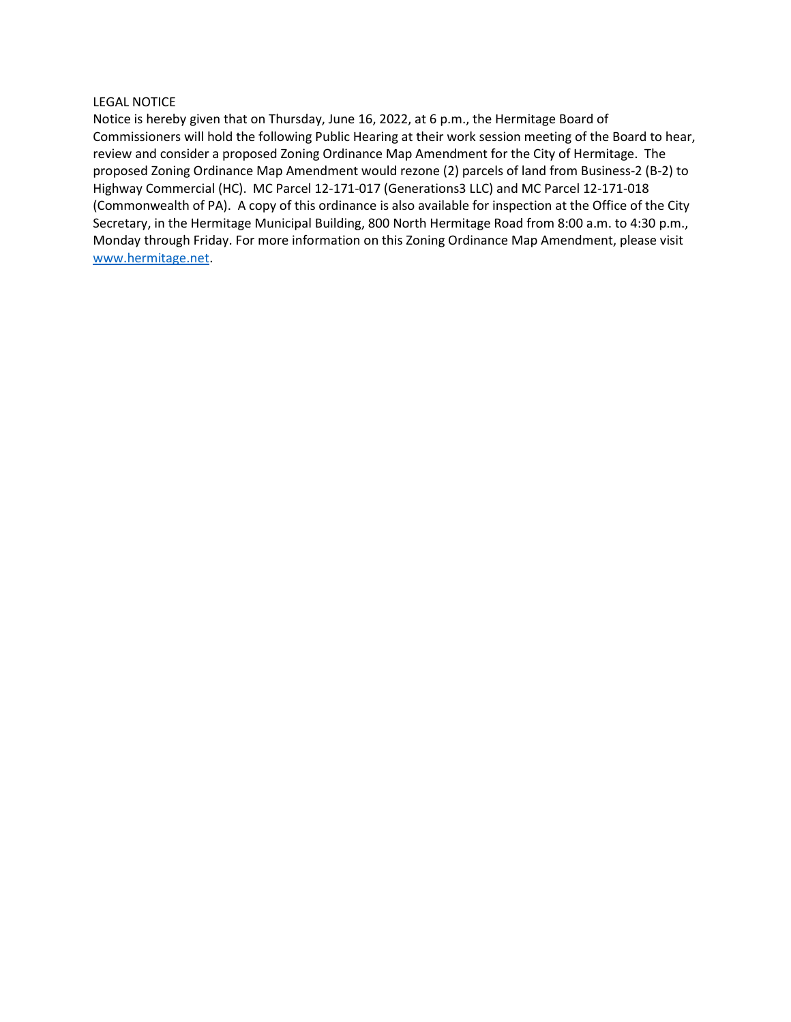## LEGAL NOTICE

Notice is hereby given that on Thursday, June 16, 2022, at 6 p.m., the Hermitage Board of Commissioners will hold the following Public Hearing at their work session meeting of the Board to hear, review and consider a proposed Zoning Ordinance Map Amendment for the City of Hermitage. The proposed Zoning Ordinance Map Amendment would rezone (2) parcels of land from Business-2 (B-2) to Highway Commercial (HC). MC Parcel 12-171-017 (Generations3 LLC) and MC Parcel 12-171-018 (Commonwealth of PA). A copy of this ordinance is also available for inspection at the Office of the City Secretary, in the Hermitage Municipal Building, 800 North Hermitage Road from 8:00 a.m. to 4:30 p.m., Monday through Friday. For more information on this Zoning Ordinance Map Amendment, please visit www.hermitage.net.